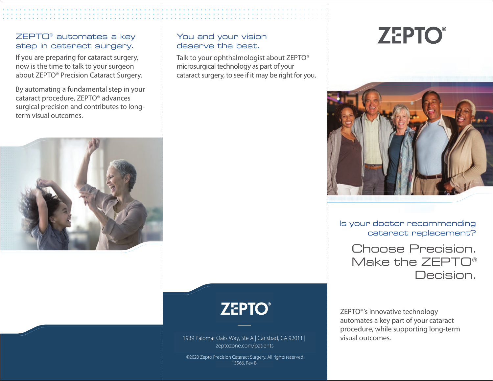# ZEPTO® automates a key step in cataract surgery.

If you are preparing for cataract surgery, now is the time to talk to your surgeon about ZEPTO® Precision Cataract Surgery.

By automating a fundamental step in your cataract procedure, ZEPTO® advances surgical precision and contributes to longterm visual outcomes.

### You and your vision deserve the best.

Talk to your ophthalmologist about ZEPTO® microsurgical technology as part of your cataract surgery, to see if it may be right for you.

# **ZEPTO®**



Is your doctor recommending cataract replacement?

Choose Precision. Make the ZEPTO® Decision.

ZEPTO®'s innovative technology automates a key part of your cataract procedure, while supporting long-term visual outcomes.



# **ZEPTO®**

1939 Palomar Oaks Way, Ste A | Carlsbad, CA 92011 | zeptozone.com/patients

©2020 Zepto Precision Cataract Surgery. All rights reserved. 13566, Rev B